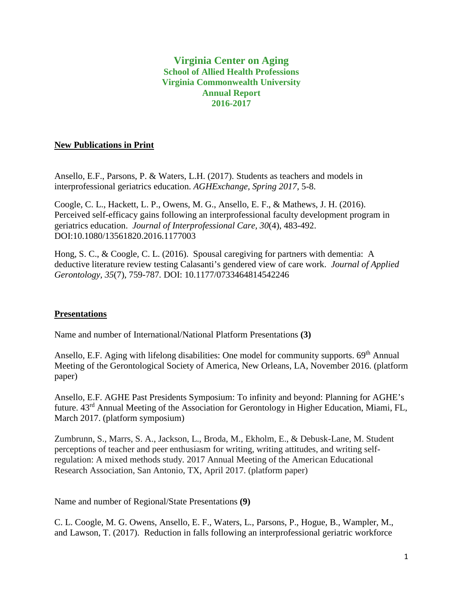# **Virginia Center on Aging School of Allied Health Professions Virginia Commonwealth University Annual Report 2016-2017**

### **New Publications in Print**

Ansello, E.F., Parsons, P. & Waters, L.H. (2017). Students as teachers and models in interprofessional geriatrics education. *AGHExchange, Spring 2017,* 5-8.

Coogle, C. L., Hackett, L. P., Owens, M. G., Ansello, E. F., & Mathews, J. H. (2016). Perceived self-efficacy gains following an interprofessional faculty development program in geriatrics education. *Journal of Interprofessional Care, 30*(4), 483-492. DOI:10.1080/13561820.2016.1177003

Hong, S. C., & Coogle, C. L. (2016). Spousal caregiving for partners with dementia: A deductive literature review testing Calasanti's gendered view of care work. *Journal of Applied Gerontology, 35*(7), 759-787*.* DOI: 10.1177/0733464814542246

## **Presentations**

Name and number of International/National Platform Presentations **(3)**

Ansello, E.F. Aging with lifelong disabilities: One model for community supports. 69<sup>th</sup> Annual Meeting of the Gerontological Society of America, New Orleans, LA, November 2016. (platform paper)

Ansello, E.F. AGHE Past Presidents Symposium: To infinity and beyond: Planning for AGHE's future. 43rd Annual Meeting of the Association for Gerontology in Higher Education, Miami, FL, March 2017. (platform symposium)

Zumbrunn, S., Marrs, S. A., Jackson, L., Broda, M., Ekholm, E., & Debusk-Lane, M. Student perceptions of teacher and peer enthusiasm for writing, writing attitudes, and writing selfregulation: A mixed methods study*.* 2017 Annual Meeting of the American Educational Research Association, San Antonio, TX, April 2017. (platform paper)

Name and number of Regional/State Presentations **(9)**

C. L. Coogle, M. G. Owens, Ansello, E. F., Waters, L., Parsons, P., Hogue, B., Wampler, M., and Lawson, T. (2017). Reduction in falls following an interprofessional geriatric workforce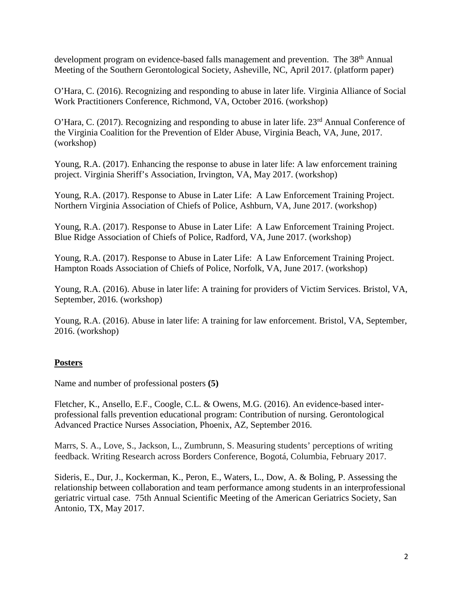development program on evidence-based falls management and prevention. The 38<sup>th</sup> Annual Meeting of the Southern Gerontological Society, Asheville, NC, April 2017. (platform paper)

O'Hara, C. (2016). Recognizing and responding to abuse in later life. Virginia Alliance of Social Work Practitioners Conference, Richmond, VA, October 2016. (workshop)

O'Hara, C. (2017). Recognizing and responding to abuse in later life. 23<sup>rd</sup> Annual Conference of the Virginia Coalition for the Prevention of Elder Abuse, Virginia Beach, VA, June, 2017. (workshop)

Young, R.A. (2017). Enhancing the response to abuse in later life: A law enforcement training project. Virginia Sheriff's Association, Irvington, VA, May 2017. (workshop)

Young, R.A. (2017). Response to Abuse in Later Life: A Law Enforcement Training Project. Northern Virginia Association of Chiefs of Police, Ashburn, VA, June 2017. (workshop)

Young, R.A. (2017). Response to Abuse in Later Life: A Law Enforcement Training Project. Blue Ridge Association of Chiefs of Police, Radford, VA, June 2017. (workshop)

Young, R.A. (2017). Response to Abuse in Later Life: A Law Enforcement Training Project. Hampton Roads Association of Chiefs of Police, Norfolk, VA, June 2017. (workshop)

Young, R.A. (2016). Abuse in later life: A training for providers of Victim Services. Bristol, VA, September, 2016. (workshop)

Young, R.A. (2016). Abuse in later life: A training for law enforcement. Bristol, VA, September, 2016. (workshop)

# **Posters**

Name and number of professional posters **(5)**

Fletcher, K., Ansello, E.F., Coogle, C.L. & Owens, M.G. (2016). An evidence-based interprofessional falls prevention educational program: Contribution of nursing. Gerontological Advanced Practice Nurses Association, Phoenix, AZ, September 2016.

Marrs, S. A., Love, S., Jackson, L., Zumbrunn, S. Measuring students' perceptions of writing feedback. Writing Research across Borders Conference, Bogotá, Columbia, February 2017.

Sideris, E., Dur, J., Kockerman, K., Peron, E., Waters, L., Dow, A. & Boling, P. Assessing the relationship between collaboration and team performance among students in an interprofessional geriatric virtual case. 75th Annual Scientific Meeting of the American Geriatrics Society, San Antonio, TX, May 2017.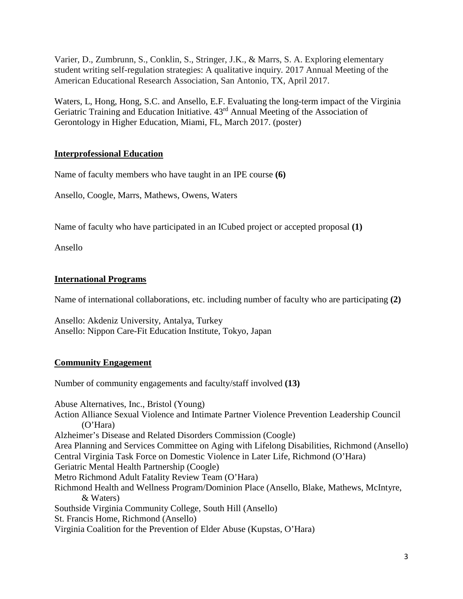Varier, D., Zumbrunn, S., Conklin, S., Stringer, J.K., & Marrs, S. A. Exploring elementary student writing self-regulation strategies: A qualitative inquiry*.* 2017 Annual Meeting of the American Educational Research Association, San Antonio, TX, April 2017.

Waters, L, Hong, Hong, S.C. and Ansello, E.F. Evaluating the long-term impact of the Virginia Geriatric Training and Education Initiative. 43rd Annual Meeting of the Association of Gerontology in Higher Education, Miami, FL, March 2017. (poster)

# **Interprofessional Education**

Name of faculty members who have taught in an IPE course **(6)**

Ansello, Coogle, Marrs, Mathews, Owens, Waters

Name of faculty who have participated in an ICubed project or accepted proposal **(1)**

Ansello

### **International Programs**

Name of international collaborations, etc. including number of faculty who are participating **(2)**

Ansello: Akdeniz University, Antalya, Turkey Ansello: Nippon Care-Fit Education Institute, Tokyo, Japan

## **Community Engagement**

Number of community engagements and faculty/staff involved **(13)**

Abuse Alternatives, Inc., Bristol (Young) Action Alliance Sexual Violence and Intimate Partner Violence Prevention Leadership Council (O'Hara) Alzheimer's Disease and Related Disorders Commission (Coogle) Area Planning and Services Committee on Aging with Lifelong Disabilities, Richmond (Ansello) Central Virginia Task Force on Domestic Violence in Later Life, Richmond (O'Hara) Geriatric Mental Health Partnership (Coogle) Metro Richmond Adult Fatality Review Team (O'Hara) Richmond Health and Wellness Program/Dominion Place (Ansello, Blake, Mathews, McIntyre, & Waters) Southside Virginia Community College, South Hill (Ansello) St. Francis Home, Richmond (Ansello) Virginia Coalition for the Prevention of Elder Abuse (Kupstas, O'Hara)